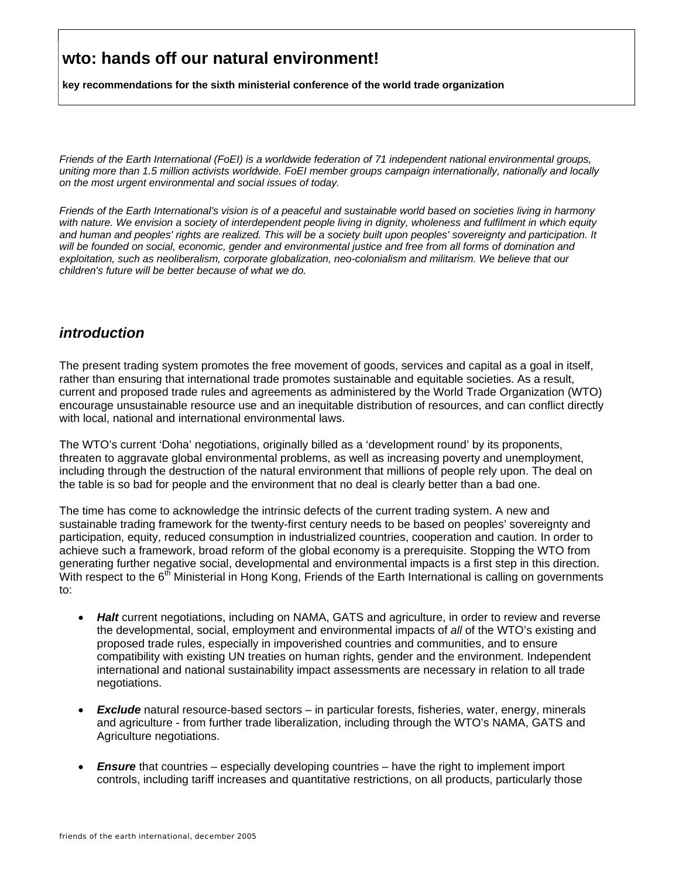**key recommendations for the sixth ministerial conference of the world trade organization**

*Friends of the Earth International (FoEI) is a worldwide federation of 71 independent national environmental groups, uniting more than 1.5 million activists worldwide. FoEI member groups campaign internationally, nationally and locally on the most urgent environmental and social issues of today.* 

*Friends of the Earth International's vision is of a peaceful and sustainable world based on societies living in harmony with nature. We envision a society of interdependent people living in dignity, wholeness and fulfilment in which equity and human and peoples' rights are realized. This will be a society built upon peoples' sovereignty and participation. It will be founded on social, economic, gender and environmental justice and free from all forms of domination and exploitation, such as neoliberalism, corporate globalization, neo-colonialism and militarism. We believe that our children's future will be better because of what we do.* 

#### *introduction*

The present trading system promotes the free movement of goods, services and capital as a goal in itself, rather than ensuring that international trade promotes sustainable and equitable societies. As a result, current and proposed trade rules and agreements as administered by the World Trade Organization (WTO) encourage unsustainable resource use and an inequitable distribution of resources, and can conflict directly with local, national and international environmental laws.

The WTO's current 'Doha' negotiations, originally billed as a 'development round' by its proponents, threaten to aggravate global environmental problems, as well as increasing poverty and unemployment, including through the destruction of the natural environment that millions of people rely upon. The deal on the table is so bad for people and the environment that no deal is clearly better than a bad one.

The time has come to acknowledge the intrinsic defects of the current trading system. A new and sustainable trading framework for the twenty-first century needs to be based on peoples' sovereignty and participation, equity, reduced consumption in industrialized countries, cooperation and caution. In order to achieve such a framework, broad reform of the global economy is a prerequisite. Stopping the WTO from generating further negative social, developmental and environmental impacts is a first step in this direction. With respect to the  $6<sup>th</sup>$  Ministerial in Hong Kong, Friends of the Earth International is calling on governments to:

- *Halt* current negotiations, including on NAMA, GATS and agriculture, in order to review and reverse the developmental, social, employment and environmental impacts of *all* of the WTO's existing and proposed trade rules, especially in impoverished countries and communities, and to ensure compatibility with existing UN treaties on human rights, gender and the environment. Independent international and national sustainability impact assessments are necessary in relation to all trade negotiations.
- *Exclude* natural resource-based sectors in particular forests, fisheries, water, energy, minerals and agriculture - from further trade liberalization, including through the WTO's NAMA, GATS and Agriculture negotiations.
- *Ensure* that countries especially developing countries have the right to implement import controls, including tariff increases and quantitative restrictions, on all products, particularly those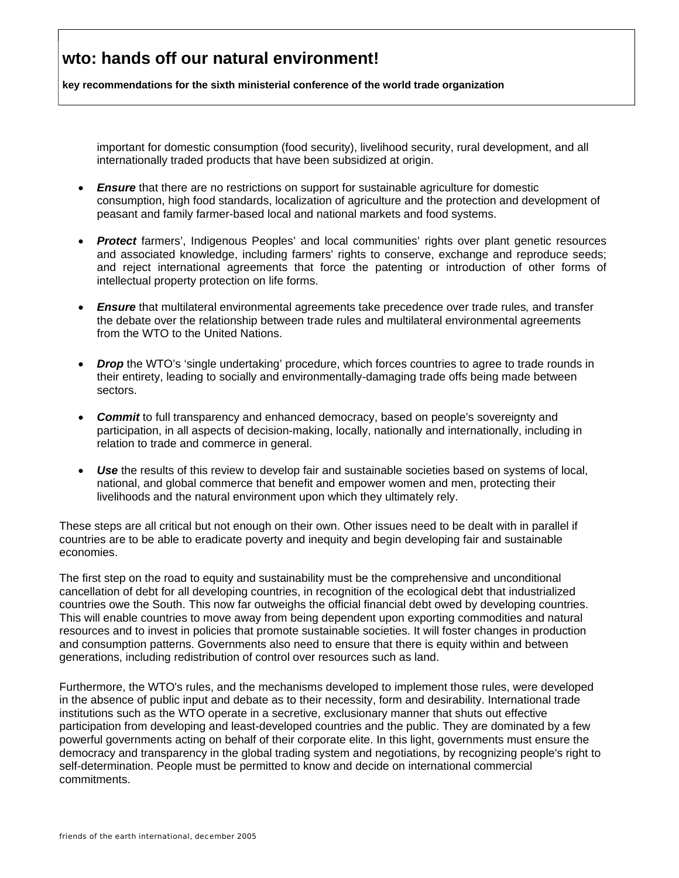**key recommendations for the sixth ministerial conference of the world trade organization**

important for domestic consumption (food security), livelihood security, rural development, and all internationally traded products that have been subsidized at origin.

- *Ensure* that there are no restrictions on support for sustainable agriculture for domestic consumption, high food standards, localization of agriculture and the protection and development of peasant and family farmer-based local and national markets and food systems.
- *Protect* farmers', Indigenous Peoples' and local communities' rights over plant genetic resources and associated knowledge, including farmers' rights to conserve, exchange and reproduce seeds; and reject international agreements that force the patenting or introduction of other forms of intellectual property protection on life forms.
- *Ensure* that multilateral environmental agreements take precedence over trade rules*,* and transfer the debate over the relationship between trade rules and multilateral environmental agreements from the WTO to the United Nations.
- *Drop* the WTO's 'single undertaking' procedure, which forces countries to agree to trade rounds in their entirety, leading to socially and environmentally-damaging trade offs being made between sectors.
- **Commit** to full transparency and enhanced democracy, based on people's sovereignty and participation, in all aspects of decision-making, locally, nationally and internationally, including in relation to trade and commerce in general.
- **Use** the results of this review to develop fair and sustainable societies based on systems of local, national, and global commerce that benefit and empower women and men, protecting their livelihoods and the natural environment upon which they ultimately rely.

These steps are all critical but not enough on their own. Other issues need to be dealt with in parallel if countries are to be able to eradicate poverty and inequity and begin developing fair and sustainable economies.

The first step on the road to equity and sustainability must be the comprehensive and unconditional cancellation of debt for all developing countries, in recognition of the ecological debt that industrialized countries owe the South. This now far outweighs the official financial debt owed by developing countries. This will enable countries to move away from being dependent upon exporting commodities and natural resources and to invest in policies that promote sustainable societies. It will foster changes in production and consumption patterns. Governments also need to ensure that there is equity within and between generations, including redistribution of control over resources such as land.

Furthermore, the WTO's rules, and the mechanisms developed to implement those rules, were developed in the absence of public input and debate as to their necessity, form and desirability. International trade institutions such as the WTO operate in a secretive, exclusionary manner that shuts out effective participation from developing and least-developed countries and the public. They are dominated by a few powerful governments acting on behalf of their corporate elite. In this light, governments must ensure the democracy and transparency in the global trading system and negotiations, by recognizing people's right to self-determination. People must be permitted to know and decide on international commercial commitments.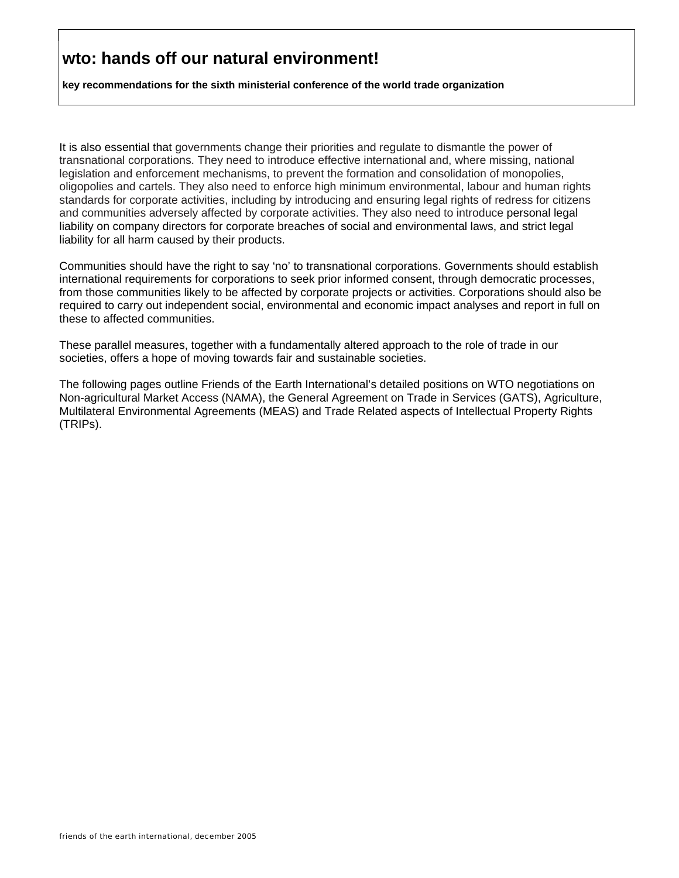**key recommendations for the sixth ministerial conference of the world trade organization**

It is also essential that governments change their priorities and regulate to dismantle the power of transnational corporations. They need to introduce effective international and, where missing, national legislation and enforcement mechanisms, to prevent the formation and consolidation of monopolies, oligopolies and cartels. They also need to enforce high minimum environmental, labour and human rights standards for corporate activities, including by introducing and ensuring legal rights of redress for citizens and communities adversely affected by corporate activities. They also need to introduce personal legal liability on company directors for corporate breaches of social and environmental laws, and strict legal liability for all harm caused by their products.

Communities should have the right to say 'no' to transnational corporations. Governments should establish international requirements for corporations to seek prior informed consent, through democratic processes, from those communities likely to be affected by corporate projects or activities. Corporations should also be required to carry out independent social, environmental and economic impact analyses and report in full on these to affected communities.

These parallel measures, together with a fundamentally altered approach to the role of trade in our societies, offers a hope of moving towards fair and sustainable societies.

The following pages outline Friends of the Earth International's detailed positions on WTO negotiations on Non-agricultural Market Access (NAMA), the General Agreement on Trade in Services (GATS), Agriculture, Multilateral Environmental Agreements (MEAS) and Trade Related aspects of Intellectual Property Rights (TRIPs).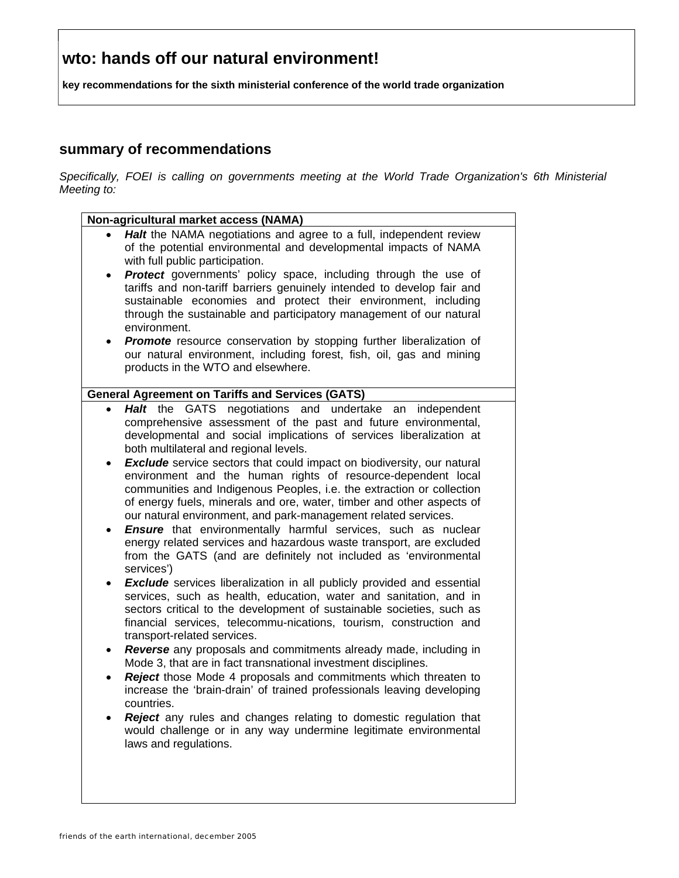**key recommendations for the sixth ministerial conference of the world trade organization**

#### **summary of recommendations**

*Specifically, FOEI is calling on governments meeting at the World Trade Organization's 6th Ministerial Meeting to:* 

|                        | Non-agricultural market access (NAMA)                                                                                                                                                                                                                                                                                                                                                                                                                                                                                                                                                                                           |  |
|------------------------|---------------------------------------------------------------------------------------------------------------------------------------------------------------------------------------------------------------------------------------------------------------------------------------------------------------------------------------------------------------------------------------------------------------------------------------------------------------------------------------------------------------------------------------------------------------------------------------------------------------------------------|--|
|                        | Halt the NAMA negotiations and agree to a full, independent review<br>of the potential environmental and developmental impacts of NAMA<br>with full public participation.                                                                                                                                                                                                                                                                                                                                                                                                                                                       |  |
|                        | Protect governments' policy space, including through the use of<br>tariffs and non-tariff barriers genuinely intended to develop fair and<br>sustainable economies and protect their environment, including<br>through the sustainable and participatory management of our natural<br>environment.                                                                                                                                                                                                                                                                                                                              |  |
|                        | <b>Promote</b> resource conservation by stopping further liberalization of<br>our natural environment, including forest, fish, oil, gas and mining<br>products in the WTO and elsewhere.                                                                                                                                                                                                                                                                                                                                                                                                                                        |  |
|                        | <b>General Agreement on Tariffs and Services (GATS)</b>                                                                                                                                                                                                                                                                                                                                                                                                                                                                                                                                                                         |  |
| $\bullet$<br>$\bullet$ | <b>GATS</b><br>negotiations and undertake an<br>Halt the<br>independent<br>comprehensive assessment of the past and future environmental,<br>developmental and social implications of services liberalization at<br>both multilateral and regional levels.<br><b>Exclude</b> service sectors that could impact on biodiversity, our natural<br>environment and the human rights of resource-dependent local<br>communities and Indigenous Peoples, i.e. the extraction or collection<br>of energy fuels, minerals and ore, water, timber and other aspects of<br>our natural environment, and park-management related services. |  |
| ٠                      | <b>Ensure</b> that environmentally harmful services, such as nuclear<br>energy related services and hazardous waste transport, are excluded<br>from the GATS (and are definitely not included as 'environmental<br>services')                                                                                                                                                                                                                                                                                                                                                                                                   |  |
|                        | <b>Exclude</b> services liberalization in all publicly provided and essential<br>services, such as health, education, water and sanitation, and in<br>sectors critical to the development of sustainable societies, such as<br>financial services, telecommu-nications, tourism, construction and<br>transport-related services.                                                                                                                                                                                                                                                                                                |  |
| ٠                      | Reverse any proposals and commitments already made, including in<br>Mode 3, that are in fact transnational investment disciplines.<br>Reject those Mode 4 proposals and commitments which threaten to<br>increase the 'brain-drain' of trained professionals leaving developing                                                                                                                                                                                                                                                                                                                                                 |  |
|                        | countries.                                                                                                                                                                                                                                                                                                                                                                                                                                                                                                                                                                                                                      |  |
|                        | <b>Reject</b> any rules and changes relating to domestic regulation that<br>would challenge or in any way undermine legitimate environmental<br>laws and regulations.                                                                                                                                                                                                                                                                                                                                                                                                                                                           |  |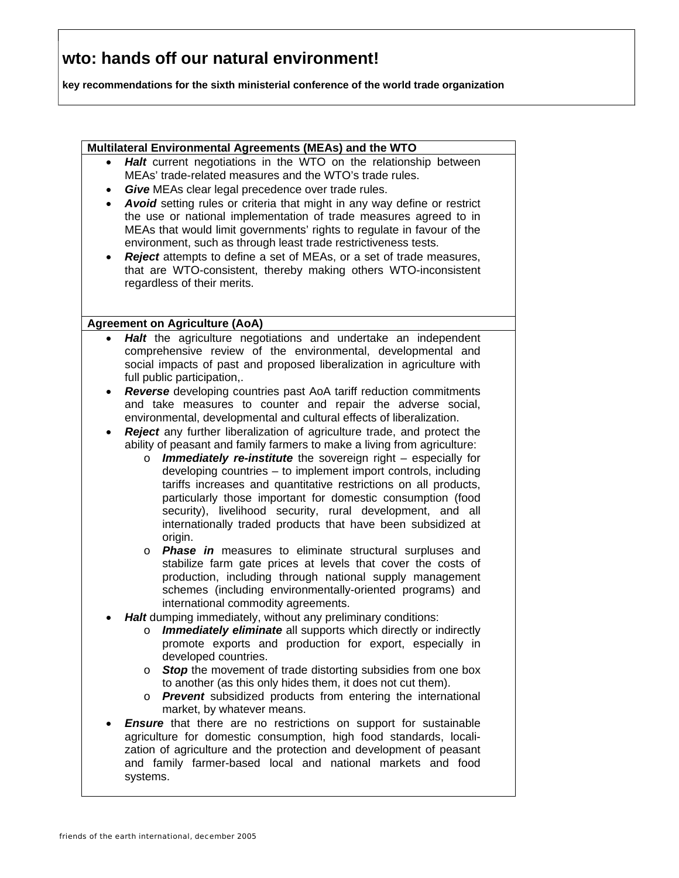**key recommendations for the sixth ministerial conference of the world trade organization**

#### **Multilateral Environmental Agreements (MEAs) and the WTO**

- **Halt** current negotiations in the WTO on the relationship between MEAs' trade-related measures and the WTO's trade rules.
- **Give** MEAs clear legal precedence over trade rules.
- *Avoid* setting rules or criteria that might in any way define or restrict the use or national implementation of trade measures agreed to in MEAs that would limit governments' rights to regulate in favour of the environment, such as through least trade restrictiveness tests.
- *Reject* attempts to define a set of MEAs, or a set of trade measures, that are WTO-consistent, thereby making others WTO-inconsistent regardless of their merits.

#### **Agreement on Agriculture (AoA)**

- **Halt** the agriculture negotiations and undertake an independent comprehensive review of the environmental, developmental and social impacts of past and proposed liberalization in agriculture with full public participation,.
- *Reverse* developing countries past AoA tariff reduction commitments and take measures to counter and repair the adverse social, environmental, developmental and cultural effects of liberalization.
- **Reject** any further liberalization of agriculture trade, and protect the ability of peasant and family farmers to make a living from agriculture:
	- o *Immediately re-institute* the sovereign right especially for developing countries – to implement import controls, including tariffs increases and quantitative restrictions on all products, particularly those important for domestic consumption (food security), livelihood security, rural development, and all internationally traded products that have been subsidized at origin.
	- o *Phase in* measures to eliminate structural surpluses and stabilize farm gate prices at levels that cover the costs of production, including through national supply management schemes (including environmentally-oriented programs) and international commodity agreements.
- *Halt* dumping immediately, without any preliminary conditions:
	- o *Immediately eliminate* all supports which directly or indirectly promote exports and production for export, especially in developed countries.
	- o *Stop* the movement of trade distorting subsidies from one box to another (as this only hides them, it does not cut them).
	- o *Prevent* subsidized products from entering the international market, by whatever means.
- **Ensure** that there are no restrictions on support for sustainable agriculture for domestic consumption, high food standards, localization of agriculture and the protection and development of peasant and family farmer-based local and national markets and food systems.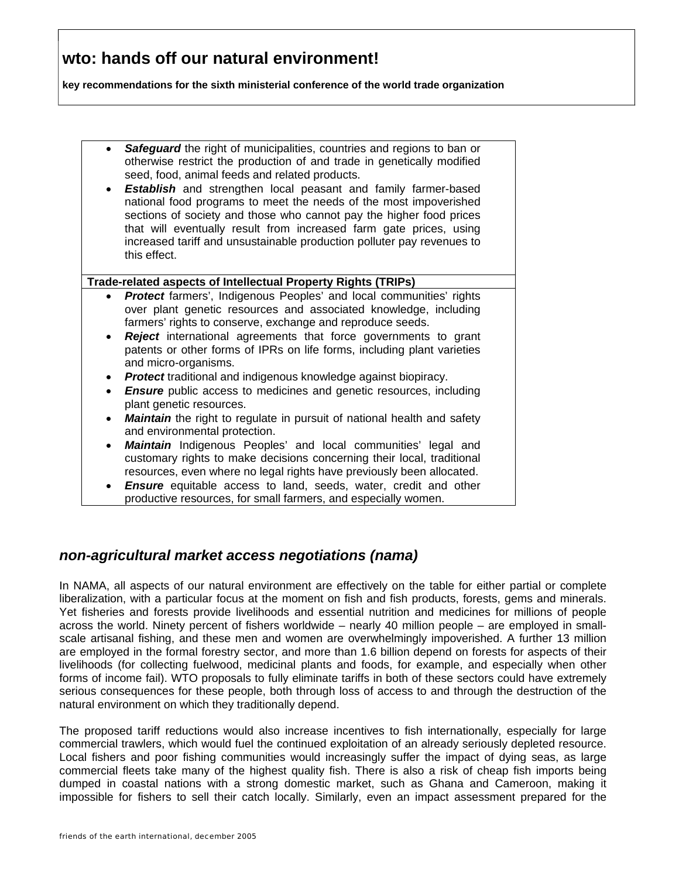**key recommendations for the sixth ministerial conference of the world trade organization**

| Safeguard the right of municipalities, countries and regions to ban or<br>otherwise restrict the production of and trade in genetically modified<br>seed, food, animal feeds and related products.<br><b>Establish</b> and strengthen local peasant and family farmer-based<br>$\bullet$<br>national food programs to meet the needs of the most impoverished<br>sections of society and those who cannot pay the higher food prices<br>that will eventually result from increased farm gate prices, using<br>increased tariff and unsustainable production polluter pay revenues to<br>this effect. |  |  |
|------------------------------------------------------------------------------------------------------------------------------------------------------------------------------------------------------------------------------------------------------------------------------------------------------------------------------------------------------------------------------------------------------------------------------------------------------------------------------------------------------------------------------------------------------------------------------------------------------|--|--|
| Trade-related aspects of Intellectual Property Rights (TRIPs)                                                                                                                                                                                                                                                                                                                                                                                                                                                                                                                                        |  |  |
| <b>Protect farmers', Indigenous Peoples' and local communities' rights</b><br>$\bullet$<br>over plant genetic resources and associated knowledge, including<br>farmers' rights to conserve, exchange and reproduce seeds.<br><b>Reject</b> international agreements that force governments to grant<br>$\bullet$<br>patents or other forms of IPRs on life forms, including plant varieties<br>and micro-organisms.<br><b>Protect traditional and indigenous knowledge against biopiracy.</b><br>$\bullet$<br><b>Ensure</b> public access to medicines and genetic resources, including<br>$\bullet$ |  |  |
| plant genetic resources.<br>Maintain the right to regulate in pursuit of national health and safety<br>$\bullet$<br>and environmental protection.<br><b>Maintain</b> Indigenous Peoples' and local communities' legal and<br>$\bullet$<br>customary rights to make decisions concerning their local, traditional<br>resources, even where no legal rights have previously been allocated.<br><b>Ensure</b> equitable access to land, seeds, water, credit and other<br>$\bullet$                                                                                                                     |  |  |
| productive resources, for small farmers, and especially women.                                                                                                                                                                                                                                                                                                                                                                                                                                                                                                                                       |  |  |

#### *non-agricultural market access negotiations (nama)*

In NAMA, all aspects of our natural environment are effectively on the table for either partial or complete liberalization, with a particular focus at the moment on fish and fish products, forests, gems and minerals. Yet fisheries and forests provide livelihoods and essential nutrition and medicines for millions of people across the world. Ninety percent of fishers worldwide – nearly 40 million people – are employed in smallscale artisanal fishing, and these men and women are overwhelmingly impoverished. A further 13 million are employed in the formal forestry sector, and more than 1.6 billion depend on forests for aspects of their livelihoods (for collecting fuelwood, medicinal plants and foods, for example, and especially when other forms of income fail). WTO proposals to fully eliminate tariffs in both of these sectors could have extremely serious consequences for these people, both through loss of access to and through the destruction of the natural environment on which they traditionally depend.

The proposed tariff reductions would also increase incentives to fish internationally, especially for large commercial trawlers, which would fuel the continued exploitation of an already seriously depleted resource. Local fishers and poor fishing communities would increasingly suffer the impact of dying seas, as large commercial fleets take many of the highest quality fish. There is also a risk of cheap fish imports being dumped in coastal nations with a strong domestic market, such as Ghana and Cameroon, making it impossible for fishers to sell their catch locally. Similarly, even an impact assessment prepared for the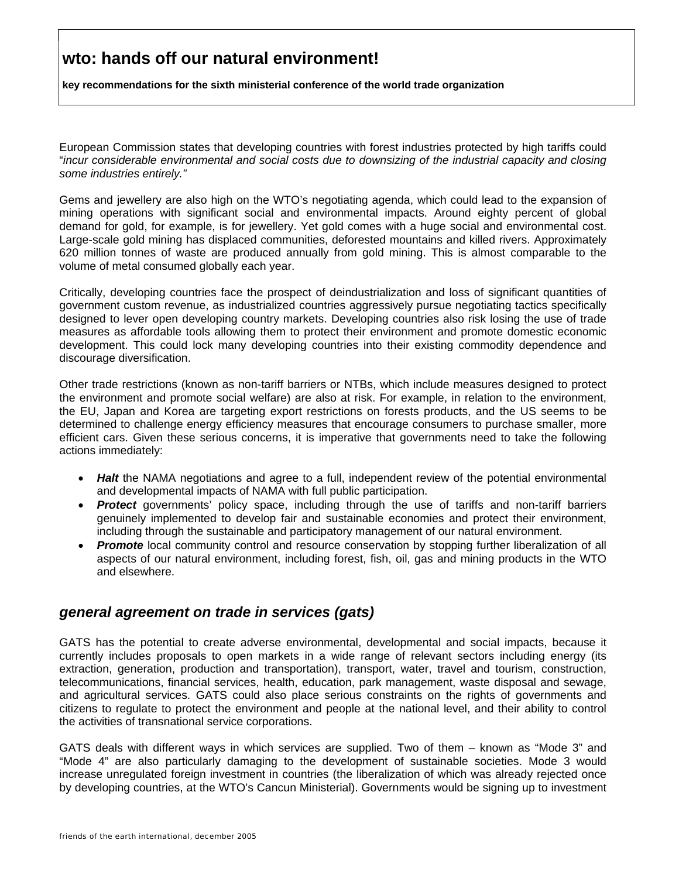**key recommendations for the sixth ministerial conference of the world trade organization**

European Commission states that developing countries with forest industries protected by high tariffs could "*incur considerable environmental and social costs due to downsizing of the industrial capacity and closing some industries entirely."*

Gems and jewellery are also high on the WTO's negotiating agenda, which could lead to the expansion of mining operations with significant social and environmental impacts. Around eighty percent of global demand for gold, for example, is for jewellery. Yet gold comes with a huge social and environmental cost. Large-scale gold mining has displaced communities, deforested mountains and killed rivers. Approximately 620 million tonnes of waste are produced annually from gold mining. This is almost comparable to the volume of metal consumed globally each year.

Critically, developing countries face the prospect of deindustrialization and loss of significant quantities of government custom revenue, as industrialized countries aggressively pursue negotiating tactics specifically designed to lever open developing country markets. Developing countries also risk losing the use of trade measures as affordable tools allowing them to protect their environment and promote domestic economic development. This could lock many developing countries into their existing commodity dependence and discourage diversification.

Other trade restrictions (known as non-tariff barriers or NTBs, which include measures designed to protect the environment and promote social welfare) are also at risk. For example, in relation to the environment, the EU, Japan and Korea are targeting export restrictions on forests products, and the US seems to be determined to challenge energy efficiency measures that encourage consumers to purchase smaller, more efficient cars. Given these serious concerns, it is imperative that governments need to take the following actions immediately:

- **Halt** the NAMA negotiations and agree to a full, independent review of the potential environmental and developmental impacts of NAMA with full public participation.
- **Protect** governments' policy space, including through the use of tariffs and non-tariff barriers genuinely implemented to develop fair and sustainable economies and protect their environment, including through the sustainable and participatory management of our natural environment.
- **Promote** local community control and resource conservation by stopping further liberalization of all aspects of our natural environment, including forest, fish, oil, gas and mining products in the WTO and elsewhere.

#### *general agreement on trade in services (gats)*

GATS has the potential to create adverse environmental, developmental and social impacts, because it currently includes proposals to open markets in a wide range of relevant sectors including energy (its extraction, generation, production and transportation), transport, water, travel and tourism, construction, telecommunications, financial services, health, education, park management, waste disposal and sewage, and agricultural services. GATS could also place serious constraints on the rights of governments and citizens to regulate to protect the environment and people at the national level, and their ability to control the activities of transnational service corporations.

GATS deals with different ways in which services are supplied. Two of them – known as "Mode 3" and "Mode 4" are also particularly damaging to the development of sustainable societies. Mode 3 would increase unregulated foreign investment in countries (the liberalization of which was already rejected once by developing countries, at the WTO's Cancun Ministerial). Governments would be signing up to investment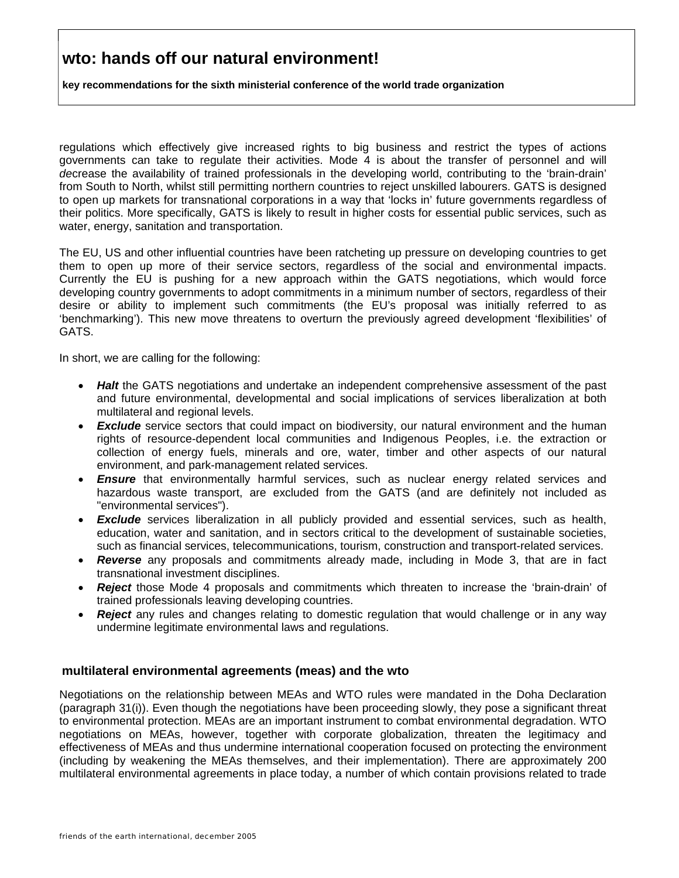**key recommendations for the sixth ministerial conference of the world trade organization**

regulations which effectively give increased rights to big business and restrict the types of actions governments can take to regulate their activities. Mode 4 is about the transfer of personnel and will *de*crease the availability of trained professionals in the developing world, contributing to the 'brain-drain' from South to North, whilst still permitting northern countries to reject unskilled labourers. GATS is designed to open up markets for transnational corporations in a way that 'locks in' future governments regardless of their politics. More specifically, GATS is likely to result in higher costs for essential public services, such as water, energy, sanitation and transportation.

The EU, US and other influential countries have been ratcheting up pressure on developing countries to get them to open up more of their service sectors, regardless of the social and environmental impacts. Currently the EU is pushing for a new approach within the GATS negotiations, which would force developing country governments to adopt commitments in a minimum number of sectors, regardless of their desire or ability to implement such commitments (the EU's proposal was initially referred to as 'benchmarking'). This new move threatens to overturn the previously agreed development 'flexibilities' of GATS.

In short, we are calling for the following:

- *Halt* the GATS negotiations and undertake an independent comprehensive assessment of the past and future environmental, developmental and social implications of services liberalization at both multilateral and regional levels.
- **Exclude** service sectors that could impact on biodiversity, our natural environment and the human rights of resource-dependent local communities and Indigenous Peoples, i.e. the extraction or collection of energy fuels, minerals and ore, water, timber and other aspects of our natural environment, and park-management related services.
- **Ensure** that environmentally harmful services, such as nuclear energy related services and hazardous waste transport, are excluded from the GATS (and are definitely not included as "environmental services").
- *Exclude* services liberalization in all publicly provided and essential services, such as health, education, water and sanitation, and in sectors critical to the development of sustainable societies, such as financial services, telecommunications, tourism, construction and transport-related services.
- *Reverse* any proposals and commitments already made, including in Mode 3, that are in fact transnational investment disciplines.
- *Reject* those Mode 4 proposals and commitments which threaten to increase the 'brain-drain' of trained professionals leaving developing countries.
- **Reject** any rules and changes relating to domestic regulation that would challenge or in any way undermine legitimate environmental laws and regulations.

#### **multilateral environmental agreements (meas) and the wto**

Negotiations on the relationship between MEAs and WTO rules were mandated in the Doha Declaration (paragraph 31(i)). Even though the negotiations have been proceeding slowly, they pose a significant threat to environmental protection. MEAs are an important instrument to combat environmental degradation. WTO negotiations on MEAs, however, together with corporate globalization, threaten the legitimacy and effectiveness of MEAs and thus undermine international cooperation focused on protecting the environment (including by weakening the MEAs themselves, and their implementation). There are approximately 200 multilateral environmental agreements in place today, a number of which contain provisions related to trade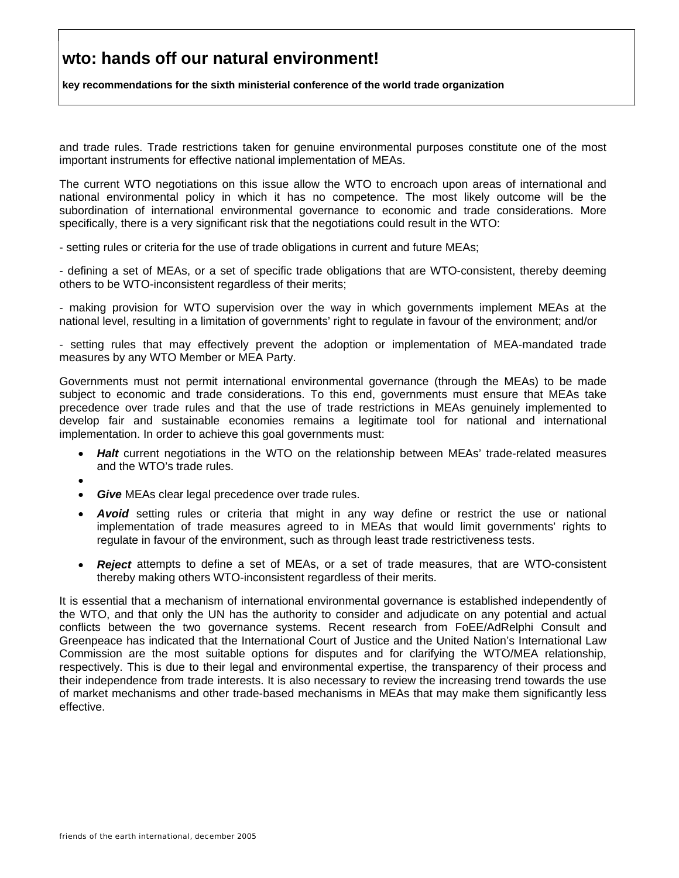**key recommendations for the sixth ministerial conference of the world trade organization**

and trade rules. Trade restrictions taken for genuine environmental purposes constitute one of the most important instruments for effective national implementation of MEAs.

The current WTO negotiations on this issue allow the WTO to encroach upon areas of international and national environmental policy in which it has no competence. The most likely outcome will be the subordination of international environmental governance to economic and trade considerations. More specifically, there is a very significant risk that the negotiations could result in the WTO:

- setting rules or criteria for the use of trade obligations in current and future MEAs;

- defining a set of MEAs, or a set of specific trade obligations that are WTO-consistent, thereby deeming others to be WTO-inconsistent regardless of their merits;

- making provision for WTO supervision over the way in which governments implement MEAs at the national level, resulting in a limitation of governments' right to regulate in favour of the environment; and/or

- setting rules that may effectively prevent the adoption or implementation of MEA-mandated trade measures by any WTO Member or MEA Party.

Governments must not permit international environmental governance (through the MEAs) to be made subject to economic and trade considerations. To this end, governments must ensure that MEAs take precedence over trade rules and that the use of trade restrictions in MEAs genuinely implemented to develop fair and sustainable economies remains a legitimate tool for national and international implementation. In order to achieve this goal governments must:

- *Halt* current negotiations in the WTO on the relationship between MEAs' trade-related measures and the WTO's trade rules.
- •
- **Give** MEAs clear legal precedence over trade rules.
- *Avoid* setting rules or criteria that might in any way define or restrict the use or national implementation of trade measures agreed to in MEAs that would limit governments' rights to regulate in favour of the environment, such as through least trade restrictiveness tests.
- *Reject* attempts to define a set of MEAs, or a set of trade measures, that are WTO-consistent thereby making others WTO-inconsistent regardless of their merits.

It is essential that a mechanism of international environmental governance is established independently of the WTO, and that only the UN has the authority to consider and adjudicate on any potential and actual conflicts between the two governance systems. Recent research from FoEE/AdRelphi Consult and Greenpeace has indicated that the International Court of Justice and the United Nation's International Law Commission are the most suitable options for disputes and for clarifying the WTO/MEA relationship, respectively. This is due to their legal and environmental expertise, the transparency of their process and their independence from trade interests. It is also necessary to review the increasing trend towards the use of market mechanisms and other trade-based mechanisms in MEAs that may make them significantly less effective.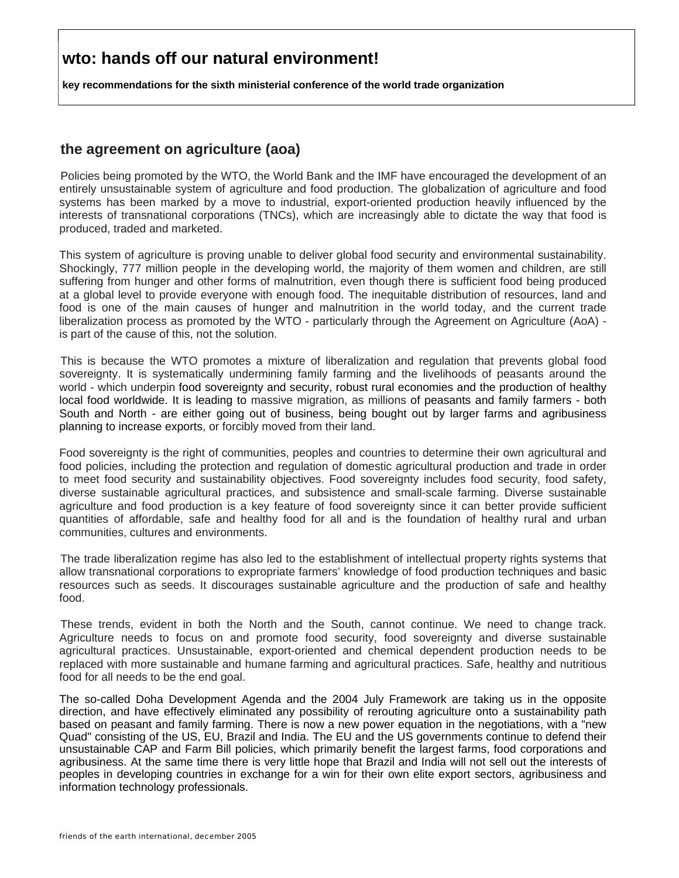**key recommendations for the sixth ministerial conference of the world trade organization**

#### **the agreement on agriculture (aoa)**

Policies being promoted by the WTO, the World Bank and the IMF have encouraged the development of an entirely unsustainable system of agriculture and food production. The globalization of agriculture and food systems has been marked by a move to industrial, export-oriented production heavily influenced by the interests of transnational corporations (TNCs), which are increasingly able to dictate the way that food is produced, traded and marketed.

This system of agriculture is proving unable to deliver global food security and environmental sustainability. Shockingly, 777 million people in the developing world, the majority of them women and children, are still suffering from hunger and other forms of malnutrition, even though there is sufficient food being produced at a global level to provide everyone with enough food. The inequitable distribution of resources, land and food is one of the main causes of hunger and malnutrition in the world today, and the current trade liberalization process as promoted by the WTO - particularly through the Agreement on Agriculture (AoA) is part of the cause of this, not the solution.

This is because the WTO promotes a mixture of liberalization and regulation that prevents global food sovereignty. It is systematically undermining family farming and the livelihoods of peasants around the world - which underpin food sovereignty and security, robust rural economies and the production of healthy local food worldwide. It is leading to massive migration, as millions of peasants and family farmers - both South and North - are either going out of business, being bought out by larger farms and agribusiness planning to increase exports, or forcibly moved from their land.

Food sovereignty is the right of communities, peoples and countries to determine their own agricultural and food policies, including the protection and regulation of domestic agricultural production and trade in order to meet food security and sustainability objectives. Food sovereignty includes food security, food safety, diverse sustainable agricultural practices, and subsistence and small-scale farming. Diverse sustainable agriculture and food production is a key feature of food sovereignty since it can better provide sufficient quantities of affordable, safe and healthy food for all and is the foundation of healthy rural and urban communities, cultures and environments.

The trade liberalization regime has also led to the establishment of intellectual property rights systems that allow transnational corporations to expropriate farmers' knowledge of food production techniques and basic resources such as seeds. It discourages sustainable agriculture and the production of safe and healthy food.

These trends, evident in both the North and the South, cannot continue. We need to change track. Agriculture needs to focus on and promote food security, food sovereignty and diverse sustainable agricultural practices. Unsustainable, export-oriented and chemical dependent production needs to be replaced with more sustainable and humane farming and agricultural practices. Safe, healthy and nutritious food for all needs to be the end goal.

The so-called Doha Development Agenda and the 2004 July Framework are taking us in the opposite direction, and have effectively eliminated any possibility of rerouting agriculture onto a sustainability path based on peasant and family farming. There is now a new power equation in the negotiations, with a "new Quad" consisting of the US, EU, Brazil and India. The EU and the US governments continue to defend their unsustainable CAP and Farm Bill policies, which primarily benefit the largest farms, food corporations and agribusiness. At the same time there is very little hope that Brazil and India will not sell out the interests of peoples in developing countries in exchange for a win for their own elite export sectors, agribusiness and information technology professionals.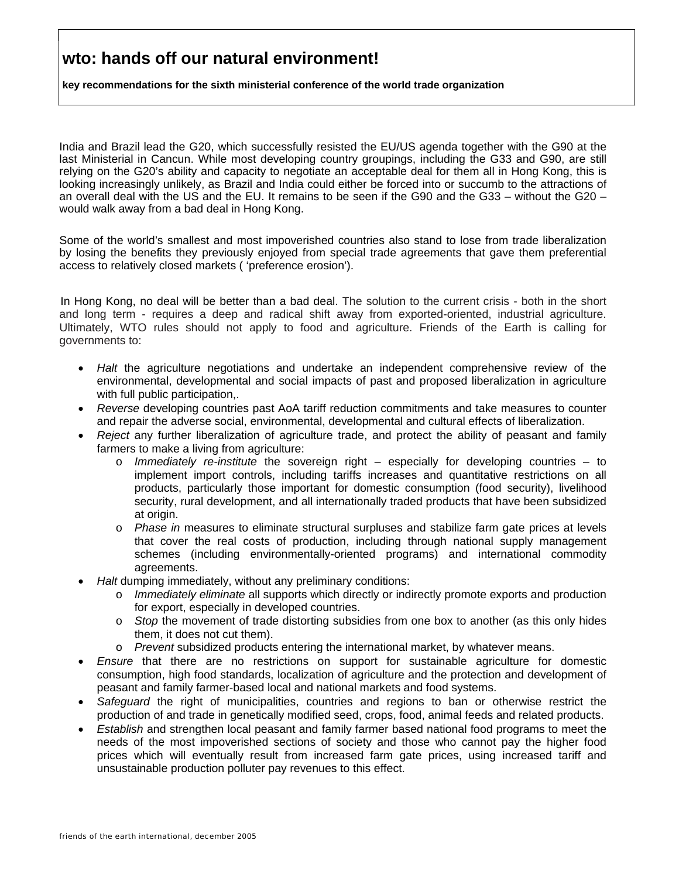**key recommendations for the sixth ministerial conference of the world trade organization**

India and Brazil lead the G20, which successfully resisted the EU/US agenda together with the G90 at the last Ministerial in Cancun. While most developing country groupings, including the G33 and G90, are still relying on the G20's ability and capacity to negotiate an acceptable deal for them all in Hong Kong, this is looking increasingly unlikely, as Brazil and India could either be forced into or succumb to the attractions of an overall deal with the US and the EU. It remains to be seen if the G90 and the G33 – without the G20 – would walk away from a bad deal in Hong Kong.

Some of the world's smallest and most impoverished countries also stand to lose from trade liberalization by losing the benefits they previously enjoyed from special trade agreements that gave them preferential access to relatively closed markets ( 'preference erosion').

In Hong Kong, no deal will be better than a bad deal. The solution to the current crisis - both in the short and long term - requires a deep and radical shift away from exported-oriented, industrial agriculture. Ultimately, WTO rules should not apply to food and agriculture. Friends of the Earth is calling for governments to:

- *Halt* the agriculture negotiations and undertake an independent comprehensive review of the environmental, developmental and social impacts of past and proposed liberalization in agriculture with full public participation,.
- *Reverse* developing countries past AoA tariff reduction commitments and take measures to counter and repair the adverse social, environmental, developmental and cultural effects of liberalization.
- *Reject* any further liberalization of agriculture trade, and protect the ability of peasant and family farmers to make a living from agriculture:
	- o *Immediately re-institute* the sovereign right especially for developing countries to implement import controls, including tariffs increases and quantitative restrictions on all products, particularly those important for domestic consumption (food security), livelihood security, rural development, and all internationally traded products that have been subsidized at origin.
	- o *Phase in* measures to eliminate structural surpluses and stabilize farm gate prices at levels that cover the real costs of production, including through national supply management schemes (including environmentally-oriented programs) and international commodity agreements.
- *Halt* dumping immediately, without any preliminary conditions:
	- o *Immediately eliminate* all supports which directly or indirectly promote exports and production for export, especially in developed countries.
	- o *Stop* the movement of trade distorting subsidies from one box to another (as this only hides them, it does not cut them).
	- o *Prevent* subsidized products entering the international market, by whatever means.
- *Ensure* that there are no restrictions on support for sustainable agriculture for domestic consumption, high food standards, localization of agriculture and the protection and development of peasant and family farmer-based local and national markets and food systems.
- *Safeguard* the right of municipalities, countries and regions to ban or otherwise restrict the production of and trade in genetically modified seed, crops, food, animal feeds and related products.
- *Establish* and strengthen local peasant and family farmer based national food programs to meet the needs of the most impoverished sections of society and those who cannot pay the higher food prices which will eventually result from increased farm gate prices, using increased tariff and unsustainable production polluter pay revenues to this effect.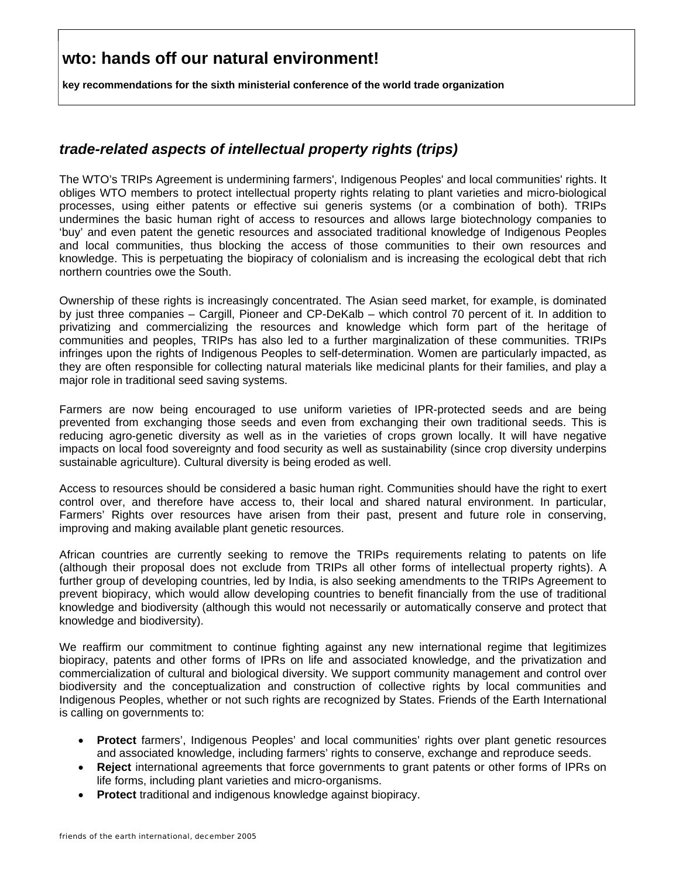**key recommendations for the sixth ministerial conference of the world trade organization**

#### *trade-related aspects of intellectual property rights (trips)*

The WTO's TRIPs Agreement is undermining farmers', Indigenous Peoples' and local communities' rights. It obliges WTO members to protect intellectual property rights relating to plant varieties and micro-biological processes, using either patents or effective sui generis systems (or a combination of both). TRIPs undermines the basic human right of access to resources and allows large biotechnology companies to 'buy' and even patent the genetic resources and associated traditional knowledge of Indigenous Peoples and local communities, thus blocking the access of those communities to their own resources and knowledge. This is perpetuating the biopiracy of colonialism and is increasing the ecological debt that rich northern countries owe the South.

Ownership of these rights is increasingly concentrated. The Asian seed market, for example, is dominated by just three companies – Cargill, Pioneer and CP-DeKalb – which control 70 percent of it. In addition to privatizing and commercializing the resources and knowledge which form part of the heritage of communities and peoples, TRIPs has also led to a further marginalization of these communities. TRIPs infringes upon the rights of Indigenous Peoples to self-determination. Women are particularly impacted, as they are often responsible for collecting natural materials like medicinal plants for their families, and play a major role in traditional seed saving systems.

Farmers are now being encouraged to use uniform varieties of IPR-protected seeds and are being prevented from exchanging those seeds and even from exchanging their own traditional seeds. This is reducing agro-genetic diversity as well as in the varieties of crops grown locally. It will have negative impacts on local food sovereignty and food security as well as sustainability (since crop diversity underpins sustainable agriculture). Cultural diversity is being eroded as well.

Access to resources should be considered a basic human right. Communities should have the right to exert control over, and therefore have access to, their local and shared natural environment. In particular, Farmers' Rights over resources have arisen from their past, present and future role in conserving, improving and making available plant genetic resources.

African countries are currently seeking to remove the TRIPs requirements relating to patents on life (although their proposal does not exclude from TRIPs all other forms of intellectual property rights). A further group of developing countries, led by India, is also seeking amendments to the TRIPs Agreement to prevent biopiracy, which would allow developing countries to benefit financially from the use of traditional knowledge and biodiversity (although this would not necessarily or automatically conserve and protect that knowledge and biodiversity).

We reaffirm our commitment to continue fighting against any new international regime that legitimizes biopiracy, patents and other forms of IPRs on life and associated knowledge, and the privatization and commercialization of cultural and biological diversity. We support community management and control over biodiversity and the conceptualization and construction of collective rights by local communities and Indigenous Peoples, whether or not such rights are recognized by States. Friends of the Earth International is calling on governments to:

- **Protect** farmers', Indigenous Peoples' and local communities' rights over plant genetic resources and associated knowledge, including farmers' rights to conserve, exchange and reproduce seeds.
- **Reject** international agreements that force governments to grant patents or other forms of IPRs on life forms, including plant varieties and micro-organisms.
- **Protect** traditional and indigenous knowledge against biopiracy.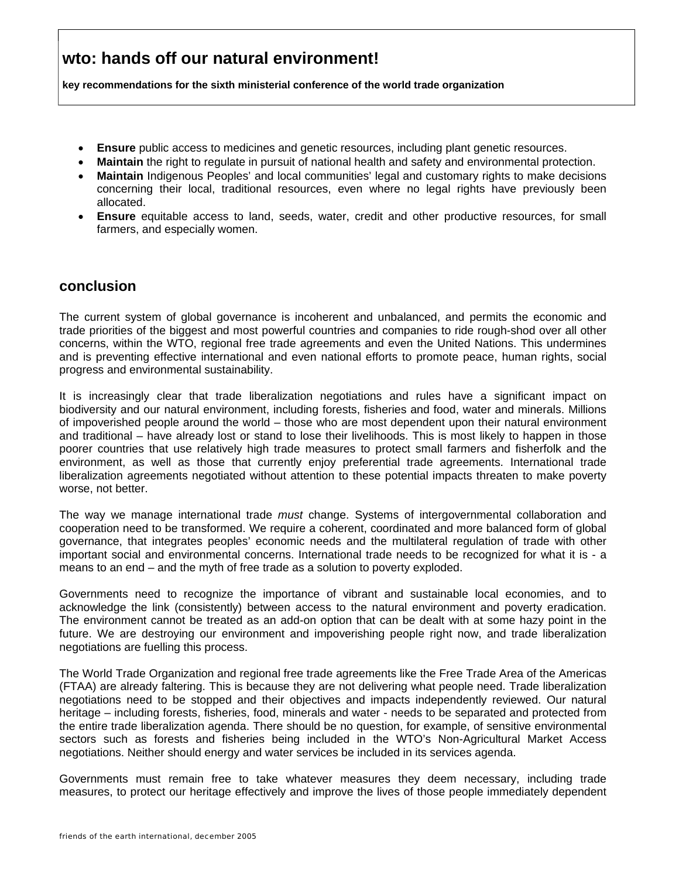**key recommendations for the sixth ministerial conference of the world trade organization**

- **Ensure** public access to medicines and genetic resources, including plant genetic resources.
- **Maintain** the right to regulate in pursuit of national health and safety and environmental protection.
- **Maintain** Indigenous Peoples' and local communities' legal and customary rights to make decisions concerning their local, traditional resources, even where no legal rights have previously been allocated.
- **Ensure** equitable access to land, seeds, water, credit and other productive resources, for small farmers, and especially women.

#### **conclusion**

The current system of global governance is incoherent and unbalanced, and permits the economic and trade priorities of the biggest and most powerful countries and companies to ride rough-shod over all other concerns, within the WTO, regional free trade agreements and even the United Nations. This undermines and is preventing effective international and even national efforts to promote peace, human rights, social progress and environmental sustainability.

It is increasingly clear that trade liberalization negotiations and rules have a significant impact on biodiversity and our natural environment, including forests, fisheries and food, water and minerals. Millions of impoverished people around the world – those who are most dependent upon their natural environment and traditional – have already lost or stand to lose their livelihoods. This is most likely to happen in those poorer countries that use relatively high trade measures to protect small farmers and fisherfolk and the environment, as well as those that currently enjoy preferential trade agreements. International trade liberalization agreements negotiated without attention to these potential impacts threaten to make poverty worse, not better.

The way we manage international trade *must* change. Systems of intergovernmental collaboration and cooperation need to be transformed. We require a coherent, coordinated and more balanced form of global governance, that integrates peoples' economic needs and the multilateral regulation of trade with other important social and environmental concerns. International trade needs to be recognized for what it is - a means to an end – and the myth of free trade as a solution to poverty exploded.

Governments need to recognize the importance of vibrant and sustainable local economies, and to acknowledge the link (consistently) between access to the natural environment and poverty eradication. The environment cannot be treated as an add-on option that can be dealt with at some hazy point in the future. We are destroying our environment and impoverishing people right now, and trade liberalization negotiations are fuelling this process.

The World Trade Organization and regional free trade agreements like the Free Trade Area of the Americas (FTAA) are already faltering. This is because they are not delivering what people need. Trade liberalization negotiations need to be stopped and their objectives and impacts independently reviewed. Our natural heritage – including forests, fisheries, food, minerals and water - needs to be separated and protected from the entire trade liberalization agenda. There should be no question, for example, of sensitive environmental sectors such as forests and fisheries being included in the WTO's Non-Agricultural Market Access negotiations. Neither should energy and water services be included in its services agenda.

Governments must remain free to take whatever measures they deem necessary, including trade measures, to protect our heritage effectively and improve the lives of those people immediately dependent